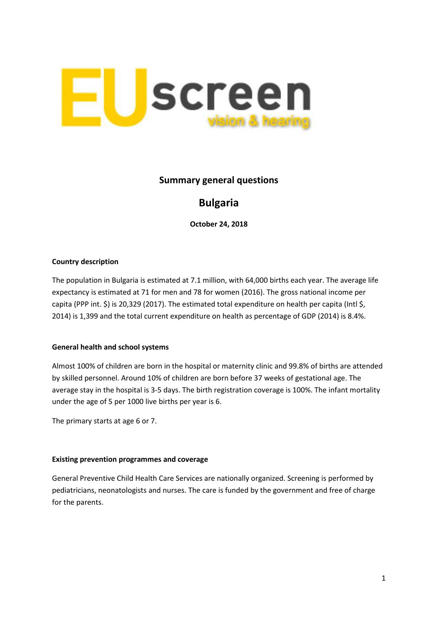

## **Summary general questions**

# **Bulgaria**

**October 24, 2018**

#### **Country description**

The population in Bulgaria is estimated at 7.1 million, with 64,000 births each year. The average life expectancy is estimated at 71 for men and 78 for women (2016). The gross national income per capita (PPP int. \$) is 20,329 (2017). The estimated total expenditure on health per capita (Intl \$, 2014) is 1,399 and the total current expenditure on health as percentage of GDP (2014) is 8.4%.

#### **General health and school systems**

Almost 100% of children are born in the hospital or maternity clinic and 99.8% of births are attended by skilled personnel. Around 10% of children are born before 37 weeks of gestational age. The average stay in the hospital is 3-5 days. The birth registration coverage is 100%. The infant mortality under the age of 5 per 1000 live births per year is 6.

The primary starts at age 6 or 7.

#### **Existing prevention programmes and coverage**

General Preventive Child Health Care Services are nationally organized. Screening is performed by pediatricians, neonatologists and nurses. The care is funded by the government and free of charge for the parents.